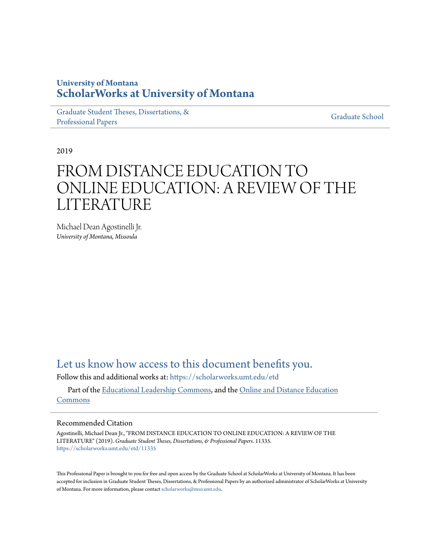# **University of Montana [ScholarWorks at University of Montana](https://scholarworks.umt.edu?utm_source=scholarworks.umt.edu%2Fetd%2F11335&utm_medium=PDF&utm_campaign=PDFCoverPages)**

[Graduate Student Theses, Dissertations, &](https://scholarworks.umt.edu/etd?utm_source=scholarworks.umt.edu%2Fetd%2F11335&utm_medium=PDF&utm_campaign=PDFCoverPages) [Professional Papers](https://scholarworks.umt.edu/etd?utm_source=scholarworks.umt.edu%2Fetd%2F11335&utm_medium=PDF&utm_campaign=PDFCoverPages)

[Graduate School](https://scholarworks.umt.edu/grad?utm_source=scholarworks.umt.edu%2Fetd%2F11335&utm_medium=PDF&utm_campaign=PDFCoverPages)

2019

# FROM DISTANCE EDUCATION TO ONLINE EDUCATION: A REVIEW OF THE LITERATURE

Michael Dean Agostinelli Jr. *University of Montana, Missoula*

[Let us know how access to this document benefits you.](https://goo.gl/forms/s2rGfXOLzz71qgsB2)

Follow this and additional works at: [https://scholarworks.umt.edu/etd](https://scholarworks.umt.edu/etd?utm_source=scholarworks.umt.edu%2Fetd%2F11335&utm_medium=PDF&utm_campaign=PDFCoverPages)

Part of the [Educational Leadership Commons](http://network.bepress.com/hgg/discipline/1230?utm_source=scholarworks.umt.edu%2Fetd%2F11335&utm_medium=PDF&utm_campaign=PDFCoverPages), and the [Online and Distance Education](http://network.bepress.com/hgg/discipline/1296?utm_source=scholarworks.umt.edu%2Fetd%2F11335&utm_medium=PDF&utm_campaign=PDFCoverPages) [Commons](http://network.bepress.com/hgg/discipline/1296?utm_source=scholarworks.umt.edu%2Fetd%2F11335&utm_medium=PDF&utm_campaign=PDFCoverPages)

## Recommended Citation

Agostinelli, Michael Dean Jr., "FROM DISTANCE EDUCATION TO ONLINE EDUCATION: A REVIEW OF THE LITERATURE" (2019). *Graduate Student Theses, Dissertations, & Professional Papers*. 11335. [https://scholarworks.umt.edu/etd/11335](https://scholarworks.umt.edu/etd/11335?utm_source=scholarworks.umt.edu%2Fetd%2F11335&utm_medium=PDF&utm_campaign=PDFCoverPages)

This Professional Paper is brought to you for free and open access by the Graduate School at ScholarWorks at University of Montana. It has been accepted for inclusion in Graduate Student Theses, Dissertations, & Professional Papers by an authorized administrator of ScholarWorks at University of Montana. For more information, please contact [scholarworks@mso.umt.edu](mailto:scholarworks@mso.umt.edu).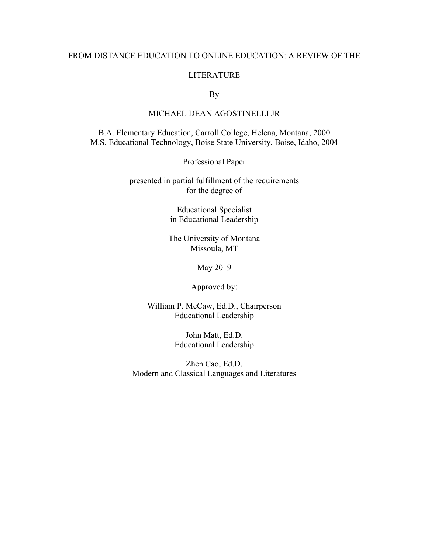### FROM DISTANCE EDUCATION TO ONLINE EDUCATION: A REVIEW OF THE

#### LITERATURE

By

## MICHAEL DEAN AGOSTINELLI JR

B.A. Elementary Education, Carroll College, Helena, Montana, 2000 M.S. Educational Technology, Boise State University, Boise, Idaho, 2004

Professional Paper

presented in partial fulfillment of the requirements for the degree of

> Educational Specialist in Educational Leadership

The University of Montana Missoula, MT

May 2019

Approved by:

William P. McCaw, Ed.D., Chairperson Educational Leadership

> John Matt, Ed.D. Educational Leadership

Zhen Cao, Ed.D. Modern and Classical Languages and Literatures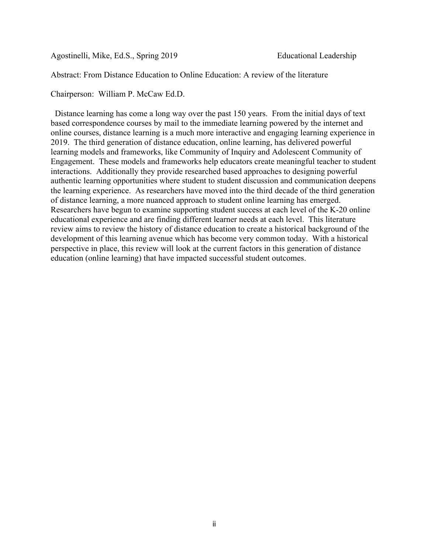Agostinelli, Mike, Ed.S., Spring 2019 Educational Leadership

Abstract: From Distance Education to Online Education: A review of the literature

Chairperson: William P. McCaw Ed.D.

 Distance learning has come a long way over the past 150 years. From the initial days of text based correspondence courses by mail to the immediate learning powered by the internet and online courses, distance learning is a much more interactive and engaging learning experience in 2019. The third generation of distance education, online learning, has delivered powerful learning models and frameworks, like Community of Inquiry and Adolescent Community of Engagement. These models and frameworks help educators create meaningful teacher to student interactions. Additionally they provide researched based approaches to designing powerful authentic learning opportunities where student to student discussion and communication deepens the learning experience. As researchers have moved into the third decade of the third generation of distance learning, a more nuanced approach to student online learning has emerged. Researchers have begun to examine supporting student success at each level of the K-20 online educational experience and are finding different learner needs at each level. This literature review aims to review the history of distance education to create a historical background of the development of this learning avenue which has become very common today. With a historical perspective in place, this review will look at the current factors in this generation of distance education (online learning) that have impacted successful student outcomes.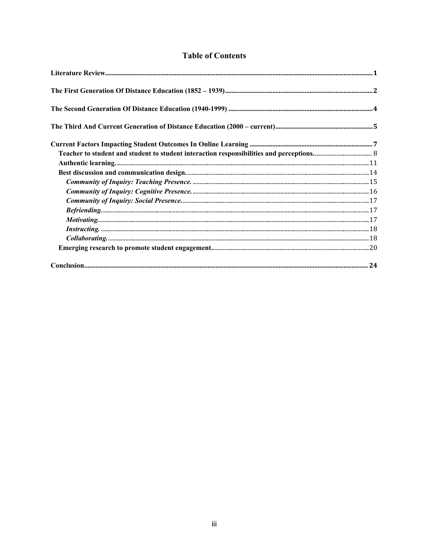# **Table of Contents**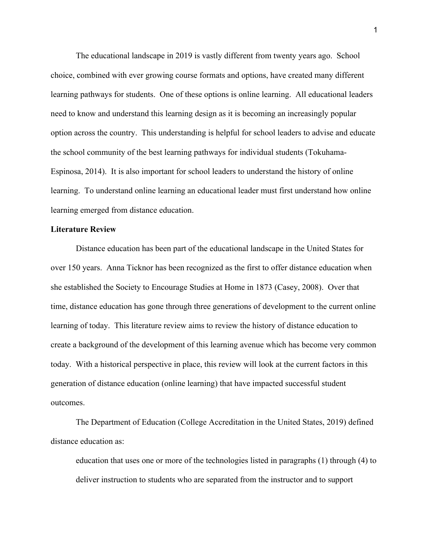The educational landscape in 2019 is vastly different from twenty years ago. School choice, combined with ever growing course formats and options, have created many different learning pathways for students. One of these options is online learning. All educational leaders need to know and understand this learning design as it is becoming an increasingly popular option across the country. This understanding is helpful for school leaders to advise and educate the school community of the best learning pathways for individual students (Tokuhama-Espinosa, 2014). It is also important for school leaders to understand the history of online learning. To understand online learning an educational leader must first understand how online learning emerged from distance education.

#### **Literature Review**

Distance education has been part of the educational landscape in the United States for over 150 years. Anna Ticknor has been recognized as the first to offer distance education when she established the Society to Encourage Studies at Home in 1873 (Casey, 2008). Over that time, distance education has gone through three generations of development to the current online learning of today. This literature review aims to review the history of distance education to create a background of the development of this learning avenue which has become very common today. With a historical perspective in place, this review will look at the current factors in this generation of distance education (online learning) that have impacted successful student outcomes.

The Department of Education (College Accreditation in the United States, 2019) defined distance education as:

education that uses one or more of the technologies listed in paragraphs (1) through (4) to deliver instruction to students who are separated from the instructor and to support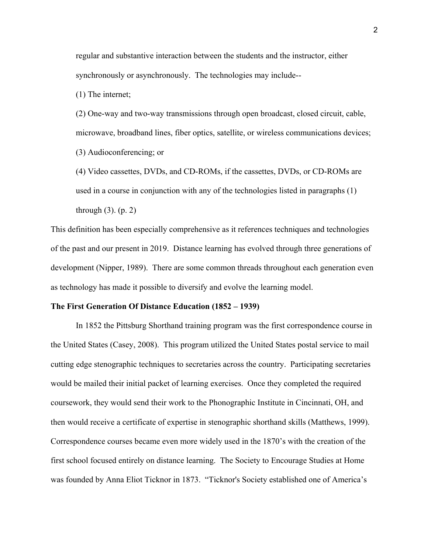regular and substantive interaction between the students and the instructor, either synchronously or asynchronously. The technologies may include--

(1) The internet;

(2) One-way and two-way transmissions through open broadcast, closed circuit, cable, microwave, broadband lines, fiber optics, satellite, or wireless communications devices; (3) Audioconferencing; or

(4) Video cassettes, DVDs, and CD-ROMs, if the cassettes, DVDs, or CD-ROMs are used in a course in conjunction with any of the technologies listed in paragraphs (1) through (3). (p. 2)

This definition has been especially comprehensive as it references techniques and technologies of the past and our present in 2019. Distance learning has evolved through three generations of development (Nipper, 1989). There are some common threads throughout each generation even as technology has made it possible to diversify and evolve the learning model.

#### **The First Generation Of Distance Education (1852 – 1939)**

In 1852 the Pittsburg Shorthand training program was the first correspondence course in the United States (Casey, 2008). This program utilized the United States postal service to mail cutting edge stenographic techniques to secretaries across the country. Participating secretaries would be mailed their initial packet of learning exercises. Once they completed the required coursework, they would send their work to the Phonographic Institute in Cincinnati, OH, and then would receive a certificate of expertise in stenographic shorthand skills (Matthews, 1999). Correspondence courses became even more widely used in the 1870's with the creation of the first school focused entirely on distance learning. The Society to Encourage Studies at Home was founded by Anna Eliot Ticknor in 1873. "Ticknor's Society established one of America's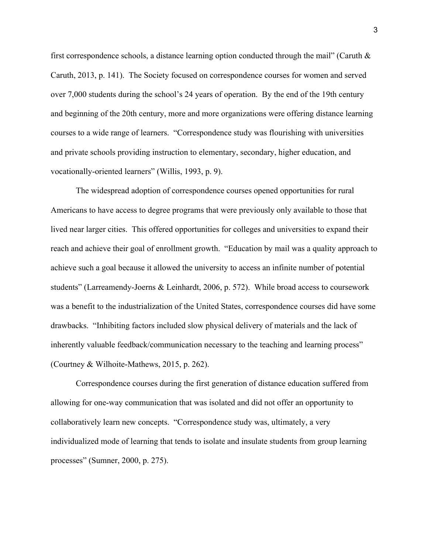first correspondence schools, a distance learning option conducted through the mail" (Caruth  $\&$ Caruth, 2013, p. 141). The Society focused on correspondence courses for women and served over 7,000 students during the school's 24 years of operation. By the end of the 19th century and beginning of the 20th century, more and more organizations were offering distance learning courses to a wide range of learners. "Correspondence study was flourishing with universities and private schools providing instruction to elementary, secondary, higher education, and vocationally-oriented learners" (Willis, 1993, p. 9).

The widespread adoption of correspondence courses opened opportunities for rural Americans to have access to degree programs that were previously only available to those that lived near larger cities. This offered opportunities for colleges and universities to expand their reach and achieve their goal of enrollment growth. "Education by mail was a quality approach to achieve such a goal because it allowed the university to access an infinite number of potential students" (Larreamendy-Joerns & Leinhardt, 2006, p. 572). While broad access to coursework was a benefit to the industrialization of the United States, correspondence courses did have some drawbacks. "Inhibiting factors included slow physical delivery of materials and the lack of inherently valuable feedback/communication necessary to the teaching and learning process" (Courtney & Wilhoite-Mathews, 2015, p. 262).

Correspondence courses during the first generation of distance education suffered from allowing for one-way communication that was isolated and did not offer an opportunity to collaboratively learn new concepts. "Correspondence study was, ultimately, a very individualized mode of learning that tends to isolate and insulate students from group learning processes" (Sumner, 2000, p. 275).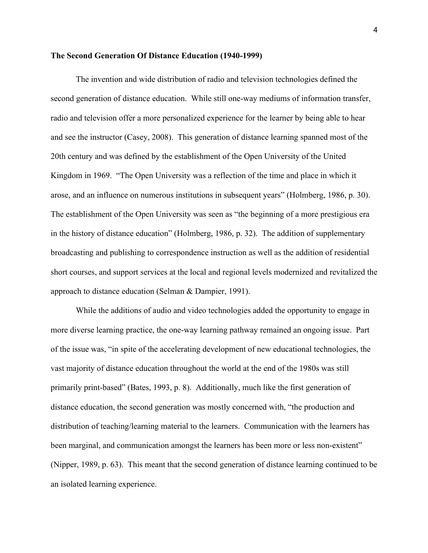#### **The Second Generation Of Distance Education (1940-1999)**

The invention and wide distribution of radio and television technologies defined the second generation of distance education. While still one-way mediums of information transfer, radio and television offer a more personalized experience for the learner by being able to hear and see the instructor (Casey, 2008). This generation of distance learning spanned most of the 20th century and was defined by the establishment of the Open University of the United Kingdom in 1969. "The Open University was a reflection of the time and place in which it arose, and an influence on numerous institutions in subsequent years" (Holmberg, 1986, p. 30). The establishment of the Open University was seen as "the beginning of a more prestigious era in the history of distance education" (Holmberg, 1986, p. 32). The addition of supplementary broadcasting and publishing to correspondence instruction as well as the addition of residential short courses, and support services at the local and regional levels modernized and revitalized the approach to distance education (Selman & Dampier, 1991).

While the additions of audio and video technologies added the opportunity to engage in more diverse learning practice, the one-way learning pathway remained an ongoing issue. Part of the issue was, "in spite of the accelerating development of new educational technologies, the vast majority of distance education throughout the world at the end of the 1980s was still primarily print-based" (Bates, 1993, p. 8). Additionally, much like the first generation of distance education, the second generation was mostly concerned with, "the production and distribution of teaching/learning material to the learners. Communication with the learners has been marginal, and communication amongst the learners has been more or less non-existent" (Nipper, 1989, p. 63). This meant that the second generation of distance learning continued to be an isolated learning experience.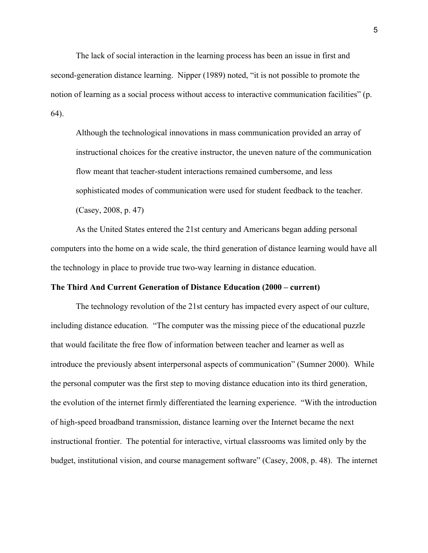The lack of social interaction in the learning process has been an issue in first and second-generation distance learning. Nipper (1989) noted, "it is not possible to promote the notion of learning as a social process without access to interactive communication facilities" (p. 64).

Although the technological innovations in mass communication provided an array of instructional choices for the creative instructor, the uneven nature of the communication flow meant that teacher-student interactions remained cumbersome, and less sophisticated modes of communication were used for student feedback to the teacher.

(Casey, 2008, p. 47)

As the United States entered the 21st century and Americans began adding personal computers into the home on a wide scale, the third generation of distance learning would have all the technology in place to provide true two-way learning in distance education.

#### **The Third And Current Generation of Distance Education (2000 – current)**

The technology revolution of the 21st century has impacted every aspect of our culture, including distance education. "The computer was the missing piece of the educational puzzle that would facilitate the free flow of information between teacher and learner as well as introduce the previously absent interpersonal aspects of communication" (Sumner 2000). While the personal computer was the first step to moving distance education into its third generation, the evolution of the internet firmly differentiated the learning experience. "With the introduction of high-speed broadband transmission, distance learning over the Internet became the next instructional frontier. The potential for interactive, virtual classrooms was limited only by the budget, institutional vision, and course management software" (Casey, 2008, p. 48). The internet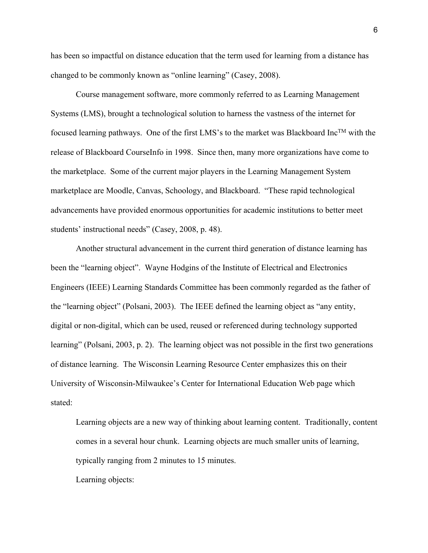has been so impactful on distance education that the term used for learning from a distance has changed to be commonly known as "online learning" (Casey, 2008).

Course management software, more commonly referred to as Learning Management Systems (LMS), brought a technological solution to harness the vastness of the internet for focused learning pathways. One of the first LMS's to the market was Blackboard Inc<sup>TM</sup> with the release of Blackboard CourseInfo in 1998. Since then, many more organizations have come to the marketplace. Some of the current major players in the Learning Management System marketplace are Moodle, Canvas, Schoology, and Blackboard. "These rapid technological advancements have provided enormous opportunities for academic institutions to better meet students' instructional needs" (Casey, 2008, p. 48).

Another structural advancement in the current third generation of distance learning has been the "learning object". Wayne Hodgins of the Institute of Electrical and Electronics Engineers (IEEE) Learning Standards Committee has been commonly regarded as the father of the "learning object" (Polsani, 2003). The IEEE defined the learning object as "any entity, digital or non-digital, which can be used, reused or referenced during technology supported learning" (Polsani, 2003, p. 2). The learning object was not possible in the first two generations of distance learning. The Wisconsin Learning Resource Center emphasizes this on their University of Wisconsin-Milwaukee's Center for International Education Web page which stated:

Learning objects are a new way of thinking about learning content. Traditionally, content comes in a several hour chunk. Learning objects are much smaller units of learning, typically ranging from 2 minutes to 15 minutes.

Learning objects: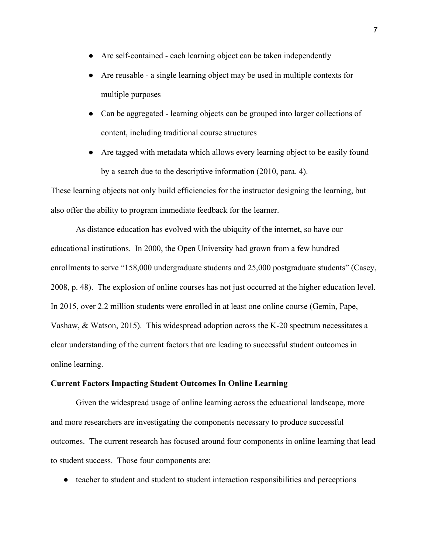- Are self-contained each learning object can be taken independently
- Are reusable a single learning object may be used in multiple contexts for multiple purposes
- Can be aggregated learning objects can be grouped into larger collections of content, including traditional course structures
- Are tagged with metadata which allows every learning object to be easily found by a search due to the descriptive information (2010, para. 4).

These learning objects not only build efficiencies for the instructor designing the learning, but also offer the ability to program immediate feedback for the learner.

As distance education has evolved with the ubiquity of the internet, so have our educational institutions. In 2000, the Open University had grown from a few hundred enrollments to serve "158,000 undergraduate students and 25,000 postgraduate students" (Casey, 2008, p. 48). The explosion of online courses has not just occurred at the higher education level. In 2015, over 2.2 million students were enrolled in at least one online course (Gemin, Pape, Vashaw, & Watson, 2015). This widespread adoption across the K-20 spectrum necessitates a clear understanding of the current factors that are leading to successful student outcomes in online learning.

#### **Current Factors Impacting Student Outcomes In Online Learning**

Given the widespread usage of online learning across the educational landscape, more and more researchers are investigating the components necessary to produce successful outcomes. The current research has focused around four components in online learning that lead to student success. Those four components are:

● teacher to student and student to student interaction responsibilities and perceptions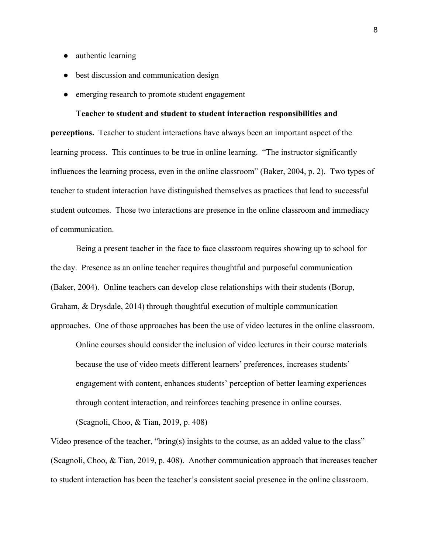- authentic learning
- best discussion and communication design
- emerging research to promote student engagement

**Teacher to student and student to student interaction responsibilities and perceptions.** Teacher to student interactions have always been an important aspect of the learning process. This continues to be true in online learning. "The instructor significantly influences the learning process, even in the online classroom" (Baker, 2004, p. 2). Two types of teacher to student interaction have distinguished themselves as practices that lead to successful student outcomes. Those two interactions are presence in the online classroom and immediacy of communication.

Being a present teacher in the face to face classroom requires showing up to school for the day. Presence as an online teacher requires thoughtful and purposeful communication (Baker, 2004). Online teachers can develop close relationships with their students (Borup, Graham, & Drysdale, 2014) through thoughtful execution of multiple communication approaches. One of those approaches has been the use of video lectures in the online classroom.

Online courses should consider the inclusion of video lectures in their course materials because the use of video meets different learners' preferences, increases students' engagement with content, enhances students' perception of better learning experiences through content interaction, and reinforces teaching presence in online courses.

(Scagnoli, Choo, & Tian, 2019, p. 408)

Video presence of the teacher, "bring(s) insights to the course, as an added value to the class" (Scagnoli, Choo, & Tian, 2019, p. 408). Another communication approach that increases teacher to student interaction has been the teacher's consistent social presence in the online classroom.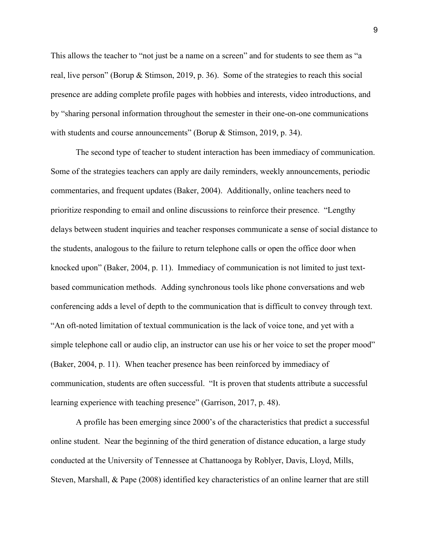This allows the teacher to "not just be a name on a screen" and for students to see them as "a real, live person" (Borup & Stimson, 2019, p. 36). Some of the strategies to reach this social presence are adding complete profile pages with hobbies and interests, video introductions, and by "sharing personal information throughout the semester in their one-on-one communications with students and course announcements" (Borup & Stimson, 2019, p. 34).

The second type of teacher to student interaction has been immediacy of communication. Some of the strategies teachers can apply are daily reminders, weekly announcements, periodic commentaries, and frequent updates (Baker, 2004). Additionally, online teachers need to prioritize responding to email and online discussions to reinforce their presence. "Lengthy delays between student inquiries and teacher responses communicate a sense of social distance to the students, analogous to the failure to return telephone calls or open the office door when knocked upon" (Baker, 2004, p. 11). Immediacy of communication is not limited to just textbased communication methods. Adding synchronous tools like phone conversations and web conferencing adds a level of depth to the communication that is difficult to convey through text. "An oft-noted limitation of textual communication is the lack of voice tone, and yet with a simple telephone call or audio clip, an instructor can use his or her voice to set the proper mood" (Baker, 2004, p. 11). When teacher presence has been reinforced by immediacy of communication, students are often successful. "It is proven that students attribute a successful learning experience with teaching presence" (Garrison, 2017, p. 48).

A profile has been emerging since 2000's of the characteristics that predict a successful online student. Near the beginning of the third generation of distance education, a large study conducted at the University of Tennessee at Chattanooga by Roblyer, Davis, Lloyd, Mills, Steven, Marshall, & Pape (2008) identified key characteristics of an online learner that are still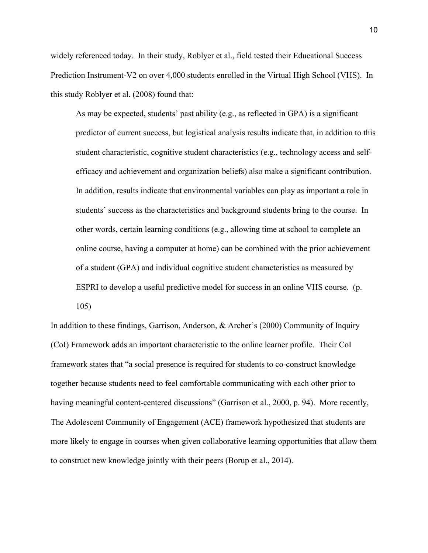widely referenced today. In their study, Roblyer et al., field tested their Educational Success Prediction Instrument-V2 on over 4,000 students enrolled in the Virtual High School (VHS). In this study Roblyer et al. (2008) found that:

As may be expected, students' past ability (e.g., as reflected in GPA) is a significant predictor of current success, but logistical analysis results indicate that, in addition to this student characteristic, cognitive student characteristics (e.g., technology access and selfefficacy and achievement and organization beliefs) also make a significant contribution. In addition, results indicate that environmental variables can play as important a role in students' success as the characteristics and background students bring to the course. In other words, certain learning conditions (e.g., allowing time at school to complete an online course, having a computer at home) can be combined with the prior achievement of a student (GPA) and individual cognitive student characteristics as measured by ESPRI to develop a useful predictive model for success in an online VHS course. (p. 105)

In addition to these findings, Garrison, Anderson, & Archer's (2000) Community of Inquiry (CoI) Framework adds an important characteristic to the online learner profile. Their CoI framework states that "a social presence is required for students to co-construct knowledge together because students need to feel comfortable communicating with each other prior to having meaningful content-centered discussions" (Garrison et al., 2000, p. 94). More recently, The Adolescent Community of Engagement (ACE) framework hypothesized that students are more likely to engage in courses when given collaborative learning opportunities that allow them to construct new knowledge jointly with their peers (Borup et al., 2014).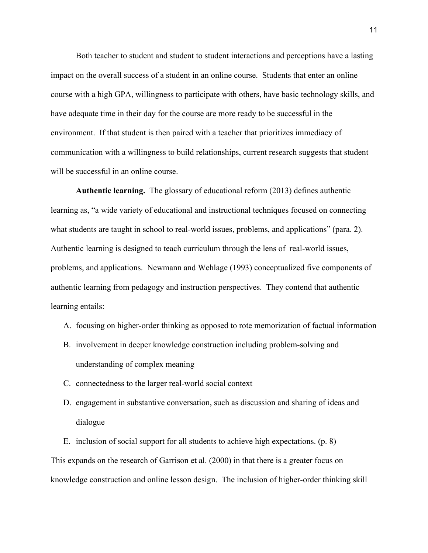Both teacher to student and student to student interactions and perceptions have a lasting impact on the overall success of a student in an online course. Students that enter an online course with a high GPA, willingness to participate with others, have basic technology skills, and have adequate time in their day for the course are more ready to be successful in the environment. If that student is then paired with a teacher that prioritizes immediacy of communication with a willingness to build relationships, current research suggests that student will be successful in an online course.

**Authentic learning.** The glossary of educational reform (2013) defines authentic learning as, "a wide variety of educational and instructional techniques focused on connecting what students are taught in school to real-world issues, problems, and applications" (para. 2). Authentic learning is designed to teach curriculum through the lens of real-world issues, problems, and applications. Newmann and Wehlage (1993) conceptualized five components of authentic learning from pedagogy and instruction perspectives. They contend that authentic learning entails:

- A. focusing on higher-order thinking as opposed to rote memorization of factual information
- B. involvement in deeper knowledge construction including problem-solving and understanding of complex meaning
- C. connectedness to the larger real-world social context
- D. engagement in substantive conversation, such as discussion and sharing of ideas and dialogue

E. inclusion of social support for all students to achieve high expectations. (p. 8) This expands on the research of Garrison et al. (2000) in that there is a greater focus on knowledge construction and online lesson design. The inclusion of higher-order thinking skill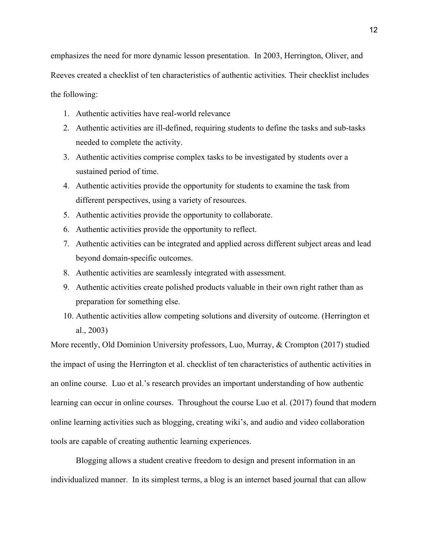emphasizes the need for more dynamic lesson presentation. In 2003, Herrington, Oliver, and Reeves created a checklist of ten characteristics of authentic activities. Their checklist includes the following:

- 1. Authentic activities have real-world relevance
- 2. Authentic activities are ill-defined, requiring students to define the tasks and sub-tasks needed to complete the activity.
- 3. Authentic activities comprise complex tasks to be investigated by students over a sustained period of time.
- 4. Authentic activities provide the opportunity for students to examine the task from different perspectives, using a variety of resources.
- 5. Authentic activities provide the opportunity to collaborate.
- 6. Authentic activities provide the opportunity to reflect.
- 7. Authentic activities can be integrated and applied across different subject areas and lead beyond domain-specific outcomes.
- 8. Authentic activities are seamlessly integrated with assessment.
- 9. Authentic activities create polished products valuable in their own right rather than as preparation for something else.
- 10. Authentic activities allow competing solutions and diversity of outcome. (Herrington et al., 2003)

More recently, Old Dominion University professors, Luo, Murray, & Crompton (2017) studied the impact of using the Herrington et al. checklist of ten characteristics of authentic activities in an online course. Luo et al.'s research provides an important understanding of how authentic learning can occur in online courses. Throughout the course Luo et al. (2017) found that modern online learning activities such as blogging, creating wiki's, and audio and video collaboration tools are capable of creating authentic learning experiences.

Blogging allows a student creative freedom to design and present information in an individualized manner. In its simplest terms, a blog is an internet based journal that can allow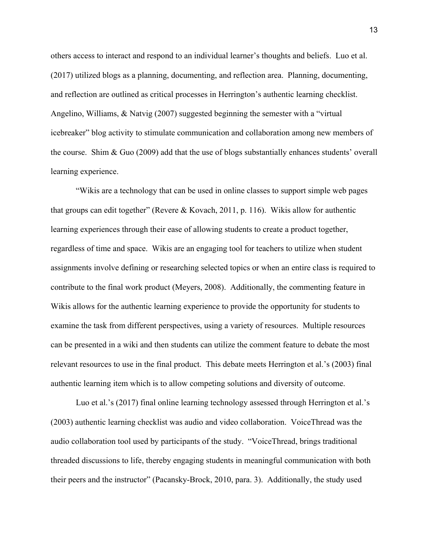others access to interact and respond to an individual learner's thoughts and beliefs. Luo et al. (2017) utilized blogs as a planning, documenting, and reflection area. Planning, documenting, and reflection are outlined as critical processes in Herrington's authentic learning checklist. Angelino, Williams, & Natvig (2007) suggested beginning the semester with a "virtual icebreaker" blog activity to stimulate communication and collaboration among new members of the course. Shim & Guo (2009) add that the use of blogs substantially enhances students' overall learning experience.

"Wikis are a technology that can be used in online classes to support simple web pages that groups can edit together" (Revere & Kovach, 2011, p. 116). Wikis allow for authentic learning experiences through their ease of allowing students to create a product together, regardless of time and space. Wikis are an engaging tool for teachers to utilize when student assignments involve defining or researching selected topics or when an entire class is required to contribute to the final work product (Meyers, 2008). Additionally, the commenting feature in Wikis allows for the authentic learning experience to provide the opportunity for students to examine the task from different perspectives, using a variety of resources. Multiple resources can be presented in a wiki and then students can utilize the comment feature to debate the most relevant resources to use in the final product. This debate meets Herrington et al.'s (2003) final authentic learning item which is to allow competing solutions and diversity of outcome.

Luo et al.'s (2017) final online learning technology assessed through Herrington et al.'s (2003) authentic learning checklist was audio and video collaboration. VoiceThread was the audio collaboration tool used by participants of the study. "VoiceThread, brings traditional threaded discussions to life, thereby engaging students in meaningful communication with both their peers and the instructor" (Pacansky-Brock, 2010, para. 3). Additionally, the study used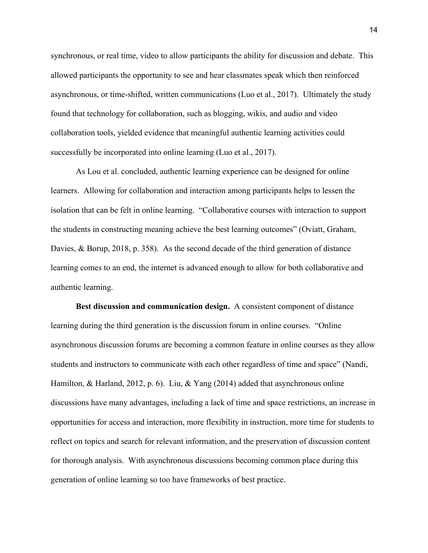synchronous, or real time, video to allow participants the ability for discussion and debate. This allowed participants the opportunity to see and hear classmates speak which then reinforced asynchronous, or time-shifted, written communications (Luo et al., 2017). Ultimately the study found that technology for collaboration, such as blogging, wikis, and audio and video collaboration tools, yielded evidence that meaningful authentic learning activities could successfully be incorporated into online learning (Luo et al., 2017).

As Lou et al. concluded, authentic learning experience can be designed for online learners. Allowing for collaboration and interaction among participants helps to lessen the isolation that can be felt in online learning. "Collaborative courses with interaction to support the students in constructing meaning achieve the best learning outcomes" (Oviatt, Graham, Davies, & Borup, 2018, p. 358). As the second decade of the third generation of distance learning comes to an end, the internet is advanced enough to allow for both collaborative and authentic learning.

**Best discussion and communication design.** A consistent component of distance learning during the third generation is the discussion forum in online courses. "Online asynchronous discussion forums are becoming a common feature in online courses as they allow students and instructors to communicate with each other regardless of time and space" (Nandi, Hamilton, & Harland, 2012, p. 6). Liu, & Yang (2014) added that asynchronous online discussions have many advantages, including a lack of time and space restrictions, an increase in opportunities for access and interaction, more flexibility in instruction, more time for students to reflect on topics and search for relevant information, and the preservation of discussion content for thorough analysis. With asynchronous discussions becoming common place during this generation of online learning so too have frameworks of best practice.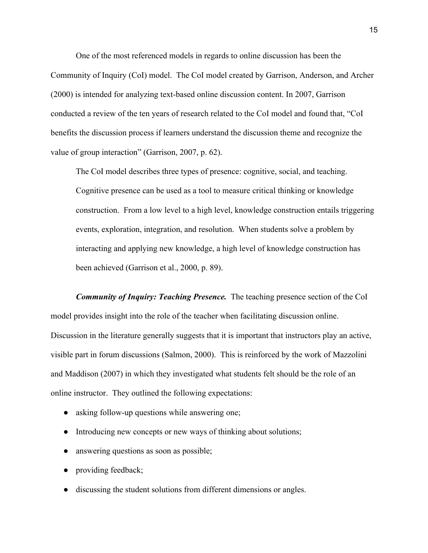One of the most referenced models in regards to online discussion has been the Community of Inquiry (CoI) model. The CoI model created by Garrison, Anderson, and Archer (2000) is intended for analyzing text-based online discussion content. In 2007, Garrison conducted a review of the ten years of research related to the CoI model and found that, "CoI benefits the discussion process if learners understand the discussion theme and recognize the value of group interaction" (Garrison, 2007, p. 62).

The CoI model describes three types of presence: cognitive, social, and teaching. Cognitive presence can be used as a tool to measure critical thinking or knowledge construction. From a low level to a high level, knowledge construction entails triggering events, exploration, integration, and resolution. When students solve a problem by interacting and applying new knowledge, a high level of knowledge construction has been achieved (Garrison et al., 2000, p. 89).

*Community of Inquiry: Teaching Presence.* The teaching presence section of the CoI model provides insight into the role of the teacher when facilitating discussion online. Discussion in the literature generally suggests that it is important that instructors play an active, visible part in forum discussions (Salmon, 2000). This is reinforced by the work of Mazzolini and Maddison (2007) in which they investigated what students felt should be the role of an online instructor. They outlined the following expectations:

- asking follow-up questions while answering one;
- Introducing new concepts or new ways of thinking about solutions;
- answering questions as soon as possible;
- providing feedback;
- discussing the student solutions from different dimensions or angles.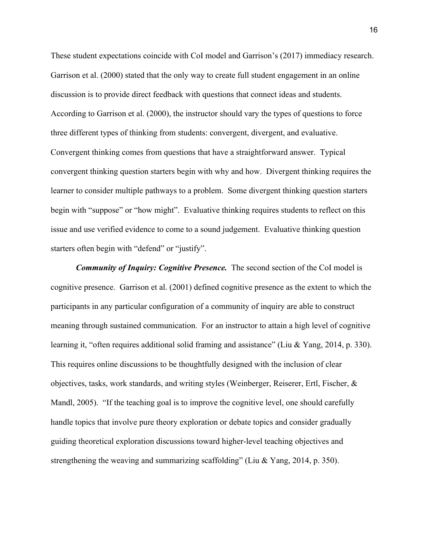These student expectations coincide with CoI model and Garrison's (2017) immediacy research. Garrison et al. (2000) stated that the only way to create full student engagement in an online discussion is to provide direct feedback with questions that connect ideas and students. According to Garrison et al. (2000), the instructor should vary the types of questions to force three different types of thinking from students: convergent, divergent, and evaluative. Convergent thinking comes from questions that have a straightforward answer. Typical convergent thinking question starters begin with why and how. Divergent thinking requires the learner to consider multiple pathways to a problem. Some divergent thinking question starters begin with "suppose" or "how might". Evaluative thinking requires students to reflect on this issue and use verified evidence to come to a sound judgement. Evaluative thinking question starters often begin with "defend" or "justify".

*Community of Inquiry: Cognitive Presence.* The second section of the CoI model is cognitive presence. Garrison et al. (2001) defined cognitive presence as the extent to which the participants in any particular configuration of a community of inquiry are able to construct meaning through sustained communication. For an instructor to attain a high level of cognitive learning it, "often requires additional solid framing and assistance" (Liu & Yang, 2014, p. 330). This requires online discussions to be thoughtfully designed with the inclusion of clear objectives, tasks, work standards, and writing styles (Weinberger, Reiserer, Ertl, Fischer, & Mandl, 2005). "If the teaching goal is to improve the cognitive level, one should carefully handle topics that involve pure theory exploration or debate topics and consider gradually guiding theoretical exploration discussions toward higher-level teaching objectives and strengthening the weaving and summarizing scaffolding" (Liu & Yang, 2014, p. 350).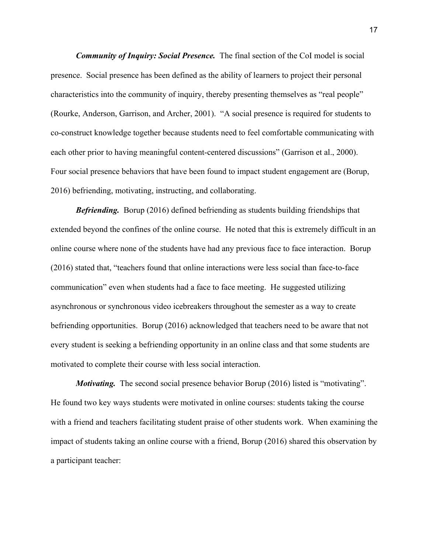*Community of Inquiry: Social Presence.* The final section of the CoI model is social presence. Social presence has been defined as the ability of learners to project their personal characteristics into the community of inquiry, thereby presenting themselves as "real people" (Rourke, Anderson, Garrison, and Archer, 2001). "A social presence is required for students to co-construct knowledge together because students need to feel comfortable communicating with each other prior to having meaningful content-centered discussions" (Garrison et al., 2000). Four social presence behaviors that have been found to impact student engagement are (Borup, 2016) befriending, motivating, instructing, and collaborating.

*Befriending.* Borup (2016) defined befriending as students building friendships that extended beyond the confines of the online course. He noted that this is extremely difficult in an online course where none of the students have had any previous face to face interaction. Borup (2016) stated that, "teachers found that online interactions were less social than face-to-face communication" even when students had a face to face meeting. He suggested utilizing asynchronous or synchronous video icebreakers throughout the semester as a way to create befriending opportunities. Borup (2016) acknowledged that teachers need to be aware that not every student is seeking a befriending opportunity in an online class and that some students are motivated to complete their course with less social interaction.

*Motivating.* The second social presence behavior Borup (2016) listed is "motivating". He found two key ways students were motivated in online courses: students taking the course with a friend and teachers facilitating student praise of other students work. When examining the impact of students taking an online course with a friend, Borup (2016) shared this observation by a participant teacher: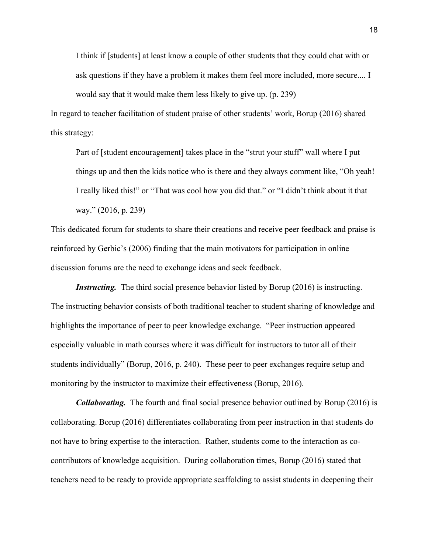I think if [students] at least know a couple of other students that they could chat with or ask questions if they have a problem it makes them feel more included, more secure.... I would say that it would make them less likely to give up. (p. 239)

In regard to teacher facilitation of student praise of other students' work, Borup (2016) shared this strategy:

Part of [student encouragement] takes place in the "strut your stuff" wall where I put things up and then the kids notice who is there and they always comment like, "Oh yeah! I really liked this!" or "That was cool how you did that." or "I didn't think about it that way." (2016, p. 239)

This dedicated forum for students to share their creations and receive peer feedback and praise is reinforced by Gerbic's (2006) finding that the main motivators for participation in online discussion forums are the need to exchange ideas and seek feedback.

*Instructing.* The third social presence behavior listed by Borup (2016) is instructing. The instructing behavior consists of both traditional teacher to student sharing of knowledge and highlights the importance of peer to peer knowledge exchange. "Peer instruction appeared especially valuable in math courses where it was difficult for instructors to tutor all of their students individually" (Borup, 2016, p. 240). These peer to peer exchanges require setup and monitoring by the instructor to maximize their effectiveness (Borup, 2016).

*Collaborating.* The fourth and final social presence behavior outlined by Borup (2016) is collaborating. Borup (2016) differentiates collaborating from peer instruction in that students do not have to bring expertise to the interaction. Rather, students come to the interaction as cocontributors of knowledge acquisition. During collaboration times, Borup (2016) stated that teachers need to be ready to provide appropriate scaffolding to assist students in deepening their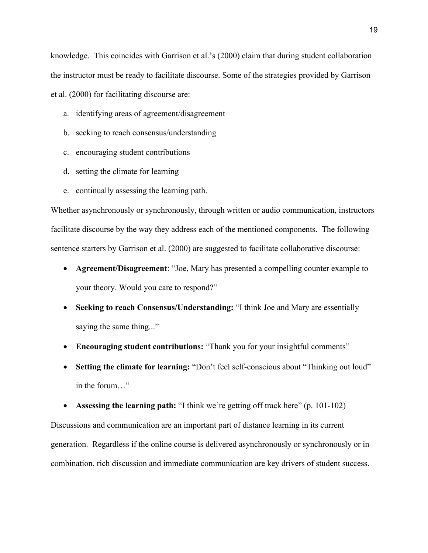knowledge. This coincides with Garrison et al.'s (2000) claim that during student collaboration the instructor must be ready to facilitate discourse. Some of the strategies provided by Garrison et al. (2000) for facilitating discourse are:

- a. identifying areas of agreement/disagreement
- b. seeking to reach consensus/understanding
- c. encouraging student contributions
- d. setting the climate for learning
- e. continually assessing the learning path.

Whether asynchronously or synchronously, through written or audio communication, instructors facilitate discourse by the way they address each of the mentioned components. The following sentence starters by Garrison et al. (2000) are suggested to facilitate collaborative discourse:

- **Agreement/Disagreement**: "Joe, Mary has presented a compelling counter example to your theory. Would you care to respond?"
- **Seeking to reach Consensus/Understanding:** "I think Joe and Mary are essentially saying the same thing..."
- **Encouraging student contributions:** "Thank you for your insightful comments"
- **Setting the climate for learning:** "Don't feel self-conscious about "Thinking out loud" in the forum…"

• **Assessing the learning path:** "I think we're getting off track here" (p. 101-102)

Discussions and communication are an important part of distance learning in its current generation. Regardless if the online course is delivered asynchronously or synchronously or in combination, rich discussion and immediate communication are key drivers of student success.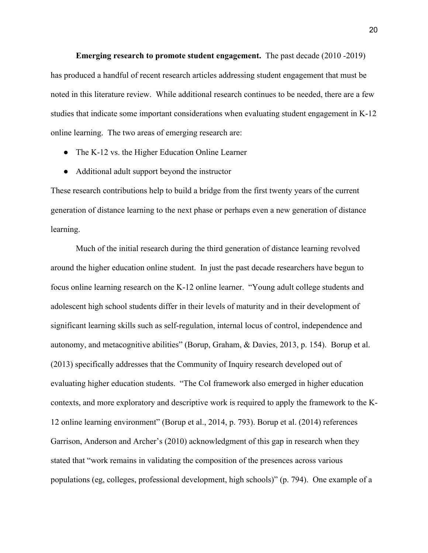**Emerging research to promote student engagement.** The past decade (2010 -2019) has produced a handful of recent research articles addressing student engagement that must be noted in this literature review. While additional research continues to be needed, there are a few studies that indicate some important considerations when evaluating student engagement in K-12 online learning. The two areas of emerging research are:

- The K-12 vs. the Higher Education Online Learner
- Additional adult support beyond the instructor

These research contributions help to build a bridge from the first twenty years of the current generation of distance learning to the next phase or perhaps even a new generation of distance learning.

Much of the initial research during the third generation of distance learning revolved around the higher education online student. In just the past decade researchers have begun to focus online learning research on the K-12 online learner. "Young adult college students and adolescent high school students differ in their levels of maturity and in their development of significant learning skills such as self-regulation, internal locus of control, independence and autonomy, and metacognitive abilities" (Borup, Graham, & Davies, 2013, p. 154). Borup et al. (2013) specifically addresses that the Community of Inquiry research developed out of evaluating higher education students. "The CoI framework also emerged in higher education contexts, and more exploratory and descriptive work is required to apply the framework to the K-12 online learning environment" (Borup et al., 2014, p. 793). Borup et al. (2014) references Garrison, Anderson and Archer's (2010) acknowledgment of this gap in research when they stated that "work remains in validating the composition of the presences across various populations (eg, colleges, professional development, high schools)" (p. 794). One example of a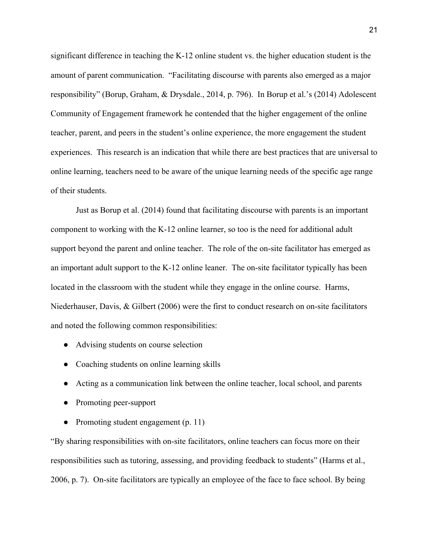significant difference in teaching the K-12 online student vs. the higher education student is the amount of parent communication. "Facilitating discourse with parents also emerged as a major responsibility" (Borup, Graham, & Drysdale., 2014, p. 796). In Borup et al.'s (2014) Adolescent Community of Engagement framework he contended that the higher engagement of the online teacher, parent, and peers in the student's online experience, the more engagement the student experiences. This research is an indication that while there are best practices that are universal to online learning, teachers need to be aware of the unique learning needs of the specific age range of their students.

Just as Borup et al. (2014) found that facilitating discourse with parents is an important component to working with the K-12 online learner, so too is the need for additional adult support beyond the parent and online teacher. The role of the on-site facilitator has emerged as an important adult support to the K-12 online leaner. The on-site facilitator typically has been located in the classroom with the student while they engage in the online course. Harms, Niederhauser, Davis, & Gilbert (2006) were the first to conduct research on on-site facilitators and noted the following common responsibilities:

- Advising students on course selection
- Coaching students on online learning skills
- Acting as a communication link between the online teacher, local school, and parents
- Promoting peer-support
- Promoting student engagement (p. 11)

"By sharing responsibilities with on-site facilitators, online teachers can focus more on their responsibilities such as tutoring, assessing, and providing feedback to students" (Harms et al., 2006, p. 7). On-site facilitators are typically an employee of the face to face school. By being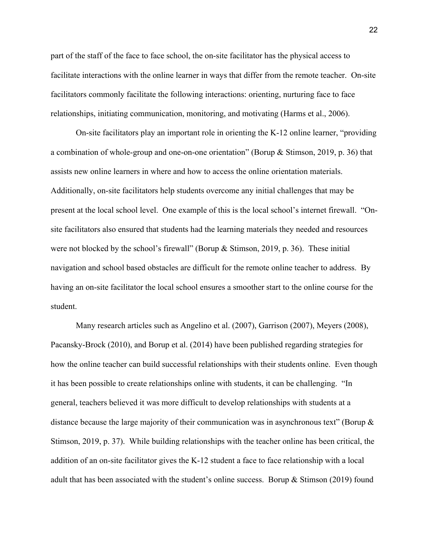part of the staff of the face to face school, the on-site facilitator has the physical access to facilitate interactions with the online learner in ways that differ from the remote teacher. On-site facilitators commonly facilitate the following interactions: orienting, nurturing face to face relationships, initiating communication, monitoring, and motivating (Harms et al., 2006).

On-site facilitators play an important role in orienting the K-12 online learner, "providing a combination of whole-group and one-on-one orientation" (Borup & Stimson, 2019, p. 36) that assists new online learners in where and how to access the online orientation materials. Additionally, on-site facilitators help students overcome any initial challenges that may be present at the local school level. One example of this is the local school's internet firewall. "Onsite facilitators also ensured that students had the learning materials they needed and resources were not blocked by the school's firewall" (Borup & Stimson, 2019, p. 36). These initial navigation and school based obstacles are difficult for the remote online teacher to address. By having an on-site facilitator the local school ensures a smoother start to the online course for the student.

Many research articles such as Angelino et al. (2007), Garrison (2007), Meyers (2008), Pacansky-Brock (2010), and Borup et al. (2014) have been published regarding strategies for how the online teacher can build successful relationships with their students online. Even though it has been possible to create relationships online with students, it can be challenging. "In general, teachers believed it was more difficult to develop relationships with students at a distance because the large majority of their communication was in asynchronous text" (Borup & Stimson, 2019, p. 37). While building relationships with the teacher online has been critical, the addition of an on-site facilitator gives the K-12 student a face to face relationship with a local adult that has been associated with the student's online success. Borup & Stimson (2019) found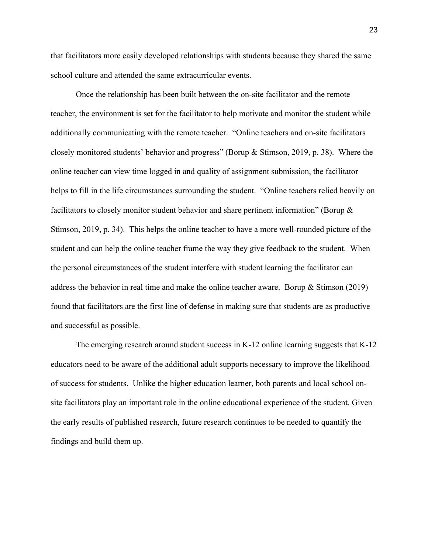that facilitators more easily developed relationships with students because they shared the same school culture and attended the same extracurricular events.

Once the relationship has been built between the on-site facilitator and the remote teacher, the environment is set for the facilitator to help motivate and monitor the student while additionally communicating with the remote teacher. "Online teachers and on-site facilitators closely monitored students' behavior and progress" (Borup & Stimson, 2019, p. 38). Where the online teacher can view time logged in and quality of assignment submission, the facilitator helps to fill in the life circumstances surrounding the student. "Online teachers relied heavily on facilitators to closely monitor student behavior and share pertinent information" (Borup & Stimson, 2019, p. 34). This helps the online teacher to have a more well-rounded picture of the student and can help the online teacher frame the way they give feedback to the student. When the personal circumstances of the student interfere with student learning the facilitator can address the behavior in real time and make the online teacher aware. Borup & Stimson (2019) found that facilitators are the first line of defense in making sure that students are as productive and successful as possible.

The emerging research around student success in K-12 online learning suggests that K-12 educators need to be aware of the additional adult supports necessary to improve the likelihood of success for students. Unlike the higher education learner, both parents and local school onsite facilitators play an important role in the online educational experience of the student. Given the early results of published research, future research continues to be needed to quantify the findings and build them up.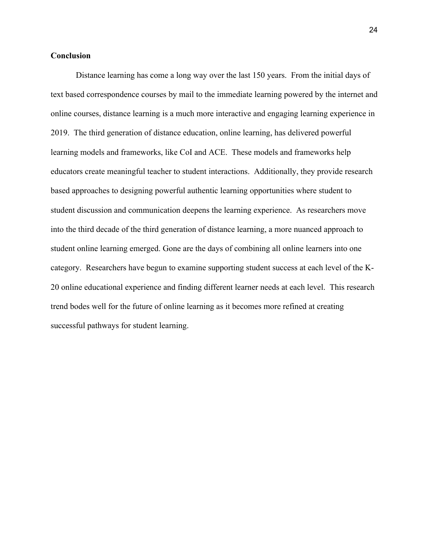### **Conclusion**

Distance learning has come a long way over the last 150 years. From the initial days of text based correspondence courses by mail to the immediate learning powered by the internet and online courses, distance learning is a much more interactive and engaging learning experience in 2019. The third generation of distance education, online learning, has delivered powerful learning models and frameworks, like CoI and ACE. These models and frameworks help educators create meaningful teacher to student interactions. Additionally, they provide research based approaches to designing powerful authentic learning opportunities where student to student discussion and communication deepens the learning experience. As researchers move into the third decade of the third generation of distance learning, a more nuanced approach to student online learning emerged. Gone are the days of combining all online learners into one category. Researchers have begun to examine supporting student success at each level of the K-20 online educational experience and finding different learner needs at each level. This research trend bodes well for the future of online learning as it becomes more refined at creating successful pathways for student learning.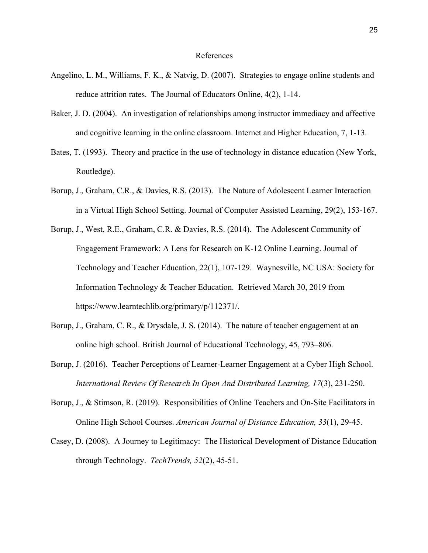#### References

- Angelino, L. M., Williams, F. K., & Natvig, D. (2007). Strategies to engage online students and reduce attrition rates. The Journal of Educators Online, 4(2), 1-14.
- Baker, J. D. (2004). An investigation of relationships among instructor immediacy and affective and cognitive learning in the online classroom. Internet and Higher Education, 7, 1-13.
- Bates, T. (1993). Theory and practice in the use of technology in distance education (New York, Routledge).
- Borup, J., Graham, C.R., & Davies, R.S. (2013). The Nature of Adolescent Learner Interaction in a Virtual High School Setting. Journal of Computer Assisted Learning, 29(2), 153-167.
- Borup, J., West, R.E., Graham, C.R. & Davies, R.S. (2014). The Adolescent Community of Engagement Framework: A Lens for Research on K-12 Online Learning. Journal of Technology and Teacher Education, 22(1), 107-129. Waynesville, NC USA: Society for Information Technology & Teacher Education. Retrieved March 30, 2019 from https://www.learntechlib.org/primary/p/112371/.
- Borup, J., Graham, C. R., & Drysdale, J. S. (2014). The nature of teacher engagement at an online high school. British Journal of Educational Technology, 45, 793–806.
- Borup, J. (2016). Teacher Perceptions of Learner-Learner Engagement at a Cyber High School. *International Review Of Research In Open And Distributed Learning, 17*(3), 231-250.
- Borup, J., & Stimson, R. (2019). Responsibilities of Online Teachers and On-Site Facilitators in Online High School Courses. *American Journal of Distance Education, 33*(1), 29-45.
- Casey, D. (2008). A Journey to Legitimacy: The Historical Development of Distance Education through Technology. *TechTrends, 52*(2), 45-51.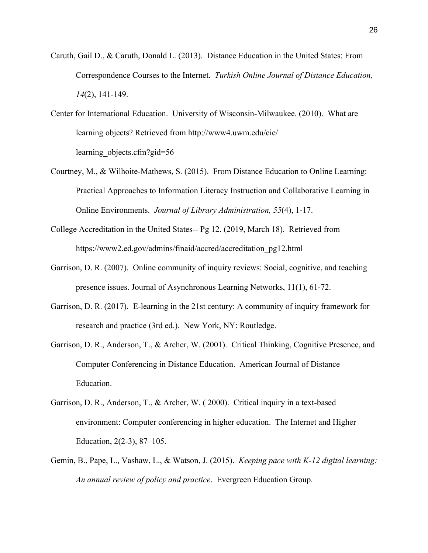- Caruth, Gail D., & Caruth, Donald L. (2013). Distance Education in the United States: From Correspondence Courses to the Internet. *Turkish Online Journal of Distance Education, 14*(2), 141-149.
- Center for International Education. University of Wisconsin-Milwaukee. (2010). What are learning objects? Retrieved from http://www4.uwm.edu/cie/ learning objects.cfm?gid=56
- Courtney, M., & Wilhoite-Mathews, S. (2015). From Distance Education to Online Learning: Practical Approaches to Information Literacy Instruction and Collaborative Learning in Online Environments. *Journal of Library Administration, 55*(4), 1-17.
- College Accreditation in the United States-- Pg 12. (2019, March 18). Retrieved from https://www2.ed.gov/admins/finaid/accred/accreditation\_pg12.html
- Garrison, D. R. (2007). Online community of inquiry reviews: Social, cognitive, and teaching presence issues. Journal of Asynchronous Learning Networks, 11(1), 61-72.
- Garrison, D. R. (2017). E-learning in the 21st century: A community of inquiry framework for research and practice (3rd ed.). New York, NY: Routledge.
- Garrison, D. R., Anderson, T., & Archer, W. (2001). Critical Thinking, Cognitive Presence, and Computer Conferencing in Distance Education. American Journal of Distance Education.
- Garrison, D. R., Anderson, T., & Archer, W. ( 2000). Critical inquiry in a text-based environment: Computer conferencing in higher education. The Internet and Higher Education, 2(2-3), 87–105.
- Gemin, B., Pape, L., Vashaw, L., & Watson, J. (2015). *Keeping pace with K-12 digital learning: An annual review of policy and practice*. Evergreen Education Group.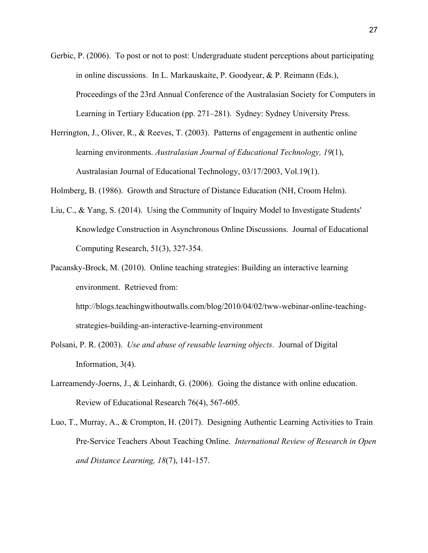- Gerbic, P. (2006). To post or not to post: Undergraduate student perceptions about participating in online discussions. In L. Markauskaite, P. Goodyear, & P. Reimann (Eds.), Proceedings of the 23rd Annual Conference of the Australasian Society for Computers in Learning in Tertiary Education (pp. 271–281). Sydney: Sydney University Press.
- Herrington, J., Oliver, R., & Reeves, T. (2003). Patterns of engagement in authentic online learning environments. *Australasian Journal of Educational Technology, 19*(1), Australasian Journal of Educational Technology, 03/17/2003, Vol.19(1).

Holmberg, B. (1986). Growth and Structure of Distance Education (NH, Croom Helm).

- Liu, C., & Yang, S. (2014). Using the Community of Inquiry Model to Investigate Students' Knowledge Construction in Asynchronous Online Discussions. Journal of Educational Computing Research, 51(3), 327-354.
- Pacansky-Brock, M. (2010). Online teaching strategies: Building an interactive learning environment. Retrieved from:

http://blogs.teachingwithoutwalls.com/blog/2010/04/02/tww-webinar-online-teachingstrategies-building-an-interactive-learning-environment

- Polsani, P. R. (2003). *Use and abuse of reusable learning objects*. Journal of Digital Information, 3(4).
- Larreamendy-Joerns, J., & Leinhardt, G. (2006). Going the distance with online education. Review of Educational Research 76(4), 567-605.
- Luo, T., Murray, A., & Crompton, H. (2017). Designing Authentic Learning Activities to Train Pre-Service Teachers About Teaching Online. *International Review of Research in Open and Distance Learning, 18*(7), 141-157.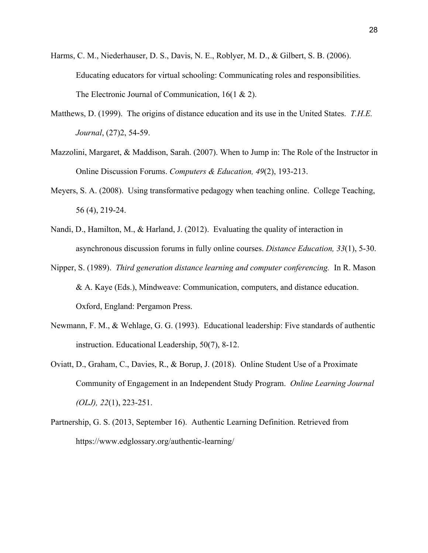- Harms, C. M., Niederhauser, D. S., Davis, N. E., Roblyer, M. D., & Gilbert, S. B. (2006). Educating educators for virtual schooling: Communicating roles and responsibilities. The Electronic Journal of Communication, 16(1 & 2).
- Matthews, D. (1999). The origins of distance education and its use in the United States. *T.H.E. Journal*, (27)2, 54-59.
- Mazzolini, Margaret, & Maddison, Sarah. (2007). When to Jump in: The Role of the Instructor in Online Discussion Forums. *Computers & Education, 49*(2), 193-213.
- Meyers, S. A. (2008). Using transformative pedagogy when teaching online. College Teaching, 56 (4), 219-24.
- Nandi, D., Hamilton, M., & Harland, J. (2012). Evaluating the quality of interaction in asynchronous discussion forums in fully online courses. *Distance Education, 33*(1), 5-30.
- Nipper, S. (1989). *Third generation distance learning and computer conferencing.* In R. Mason & A. Kaye (Eds.), Mindweave: Communication, computers, and distance education. Oxford, England: Pergamon Press.
- Newmann, F. M., & Wehlage, G. G. (1993). Educational leadership: Five standards of authentic instruction. Educational Leadership, 50(7), 8-12.
- Oviatt, D., Graham, C., Davies, R., & Borup, J. (2018). Online Student Use of a Proximate Community of Engagement in an Independent Study Program. *Online Learning Journal (OLJ), 22*(1), 223-251.
- Partnership, G. S. (2013, September 16). Authentic Learning Definition. Retrieved from https://www.edglossary.org/authentic-learning/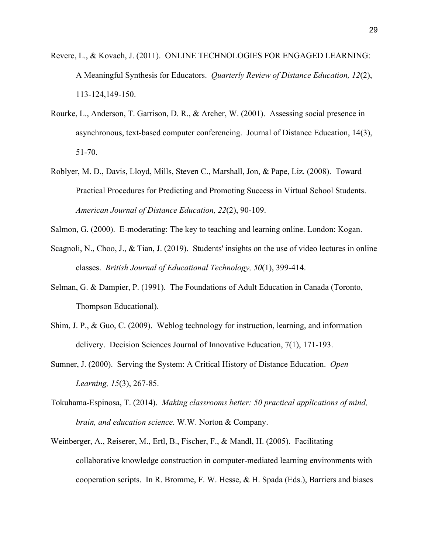- Revere, L., & Kovach, J. (2011). ONLINE TECHNOLOGIES FOR ENGAGED LEARNING: A Meaningful Synthesis for Educators. *Quarterly Review of Distance Education, 12*(2), 113-124,149-150.
- Rourke, L., Anderson, T. Garrison, D. R., & Archer, W. (2001). Assessing social presence in asynchronous, text-based computer conferencing. Journal of Distance Education, 14(3), 51-70.
- Roblyer, M. D., Davis, Lloyd, Mills, Steven C., Marshall, Jon, & Pape, Liz. (2008). Toward Practical Procedures for Predicting and Promoting Success in Virtual School Students. *American Journal of Distance Education, 22*(2), 90-109.
- Salmon, G. (2000). E-moderating: The key to teaching and learning online. London: Kogan.
- Scagnoli, N., Choo, J., & Tian, J. (2019). Students' insights on the use of video lectures in online classes. *British Journal of Educational Technology, 50*(1), 399-414.
- Selman, G. & Dampier, P. (1991). The Foundations of Adult Education in Canada (Toronto, Thompson Educational).
- Shim, J. P., & Guo, C. (2009). Weblog technology for instruction, learning, and information delivery. Decision Sciences Journal of Innovative Education, 7(1), 171-193.
- Sumner, J. (2000). Serving the System: A Critical History of Distance Education. *Open Learning, 15*(3), 267-85.
- Tokuhama-Espinosa, T. (2014). *Making classrooms better: 50 practical applications of mind, brain, and education science*. W.W. Norton & Company.
- Weinberger, A., Reiserer, M., Ertl, B., Fischer, F., & Mandl, H. (2005). Facilitating collaborative knowledge construction in computer-mediated learning environments with cooperation scripts. In R. Bromme, F. W. Hesse, & H. Spada (Eds.), Barriers and biases